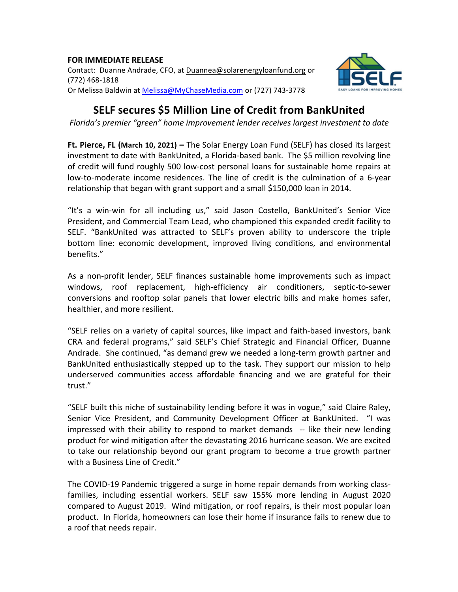# **FOR IMMEDIATE RELEASE**

Contact: Duanne Andrade, CFO, at Duannea@solarenergyloanfund.org or (772) 468-1818 Or Melissa Baldwin at Melissa@MyChaseMedia.com or (727) 743-3778



# **SELF secures \$5 Million Line of Credit from BankUnited**

*Florida's premier "green"* home *improvement lender receives largest investment to date* 

**Ft. Pierce, FL (March 10, 2021) – The Solar Energy Loan Fund (SELF) has closed its largest** investment to date with BankUnited, a Florida-based bank. The \$5 million revolving line of credit will fund roughly 500 low-cost personal loans for sustainable home repairs at low-to-moderate income residences. The line of credit is the culmination of a 6-year relationship that began with grant support and a small \$150,000 loan in 2014.

"It's a win-win for all including us," said Jason Costello, BankUnited's Senior Vice President, and Commercial Team Lead, who championed this expanded credit facility to SELF. "BankUnited was attracted to SELF's proven ability to underscore the triple bottom line: economic development, improved living conditions, and environmental benefits." 

As a non-profit lender, SELF finances sustainable home improvements such as impact windows, roof replacement, high-efficiency air conditioners, septic-to-sewer conversions and rooftop solar panels that lower electric bills and make homes safer, healthier, and more resilient.

"SELF relies on a variety of capital sources, like impact and faith-based investors, bank CRA and federal programs," said SELF's Chief Strategic and Financial Officer, Duanne Andrade. She continued, "as demand grew we needed a long-term growth partner and BankUnited enthusiastically stepped up to the task. They support our mission to help underserved communities access affordable financing and we are grateful for their trust." 

"SELF built this niche of sustainability lending before it was in vogue," said Claire Raley, Senior Vice President, and Community Development Officer at BankUnited. "I was impressed with their ability to respond to market demands -- like their new lending product for wind mitigation after the devastating 2016 hurricane season. We are excited to take our relationship beyond our grant program to become a true growth partner with a Business Line of Credit."

The COVID-19 Pandemic triggered a surge in home repair demands from working classfamilies, including essential workers. SELF saw 155% more lending in August 2020 compared to August 2019. Wind mitigation, or roof repairs, is their most popular loan product. In Florida, homeowners can lose their home if insurance fails to renew due to a roof that needs repair.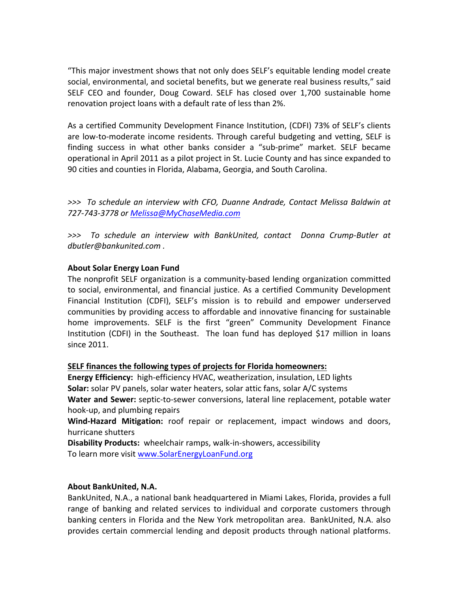"This major investment shows that not only does SELF's equitable lending model create social, environmental, and societal benefits, but we generate real business results," said SELF CEO and founder, Doug Coward. SELF has closed over 1,700 sustainable home renovation project loans with a default rate of less than 2%.

As a certified Community Development Finance Institution, (CDFI) 73% of SELF's clients are low-to-moderate income residents. Through careful budgeting and vetting, SELF is finding success in what other banks consider a "sub-prime" market. SELF became operational in April 2011 as a pilot project in St. Lucie County and has since expanded to 90 cities and counties in Florida, Alabama, Georgia, and South Carolina.

*>>> To schedule an interview with CFO, Duanne Andrade, Contact Melissa Baldwin at 727-743-3778 or Melissa@MyChaseMedia.com*

*>>> To schedule an interview with BankUnited, contact Donna Crump-Butler at dbutler@bankunited.com .*

## **About Solar Energy Loan Fund**

The nonprofit SELF organization is a community-based lending organization committed to social, environmental, and financial justice. As a certified Community Development Financial Institution (CDFI), SELF's mission is to rebuild and empower underserved communities by providing access to affordable and innovative financing for sustainable home improvements. SELF is the first "green" Community Development Finance Institution (CDFI) in the Southeast. The loan fund has deployed \$17 million in loans since 2011.

### **SELF finances the following types of projects for Florida homeowners:**

**Energy Efficiency:** high-efficiency HVAC, weatherization, insulation, LED lights **Solar:** solar PV panels, solar water heaters, solar attic fans, solar A/C systems **Water and Sewer:** septic-to-sewer conversions, lateral line replacement, potable water hook-up, and plumbing repairs

Wind-Hazard Mitigation: roof repair or replacement, impact windows and doors, hurricane shutters

**Disability Products:** wheelchair ramps, walk-in-showers, accessibility To learn more visit www.SolarEnergyLoanFund.org

### **About BankUnited, N.A.**

BankUnited, N.A., a national bank headquartered in Miami Lakes, Florida, provides a full range of banking and related services to individual and corporate customers through banking centers in Florida and the New York metropolitan area. BankUnited, N.A. also provides certain commercial lending and deposit products through national platforms.